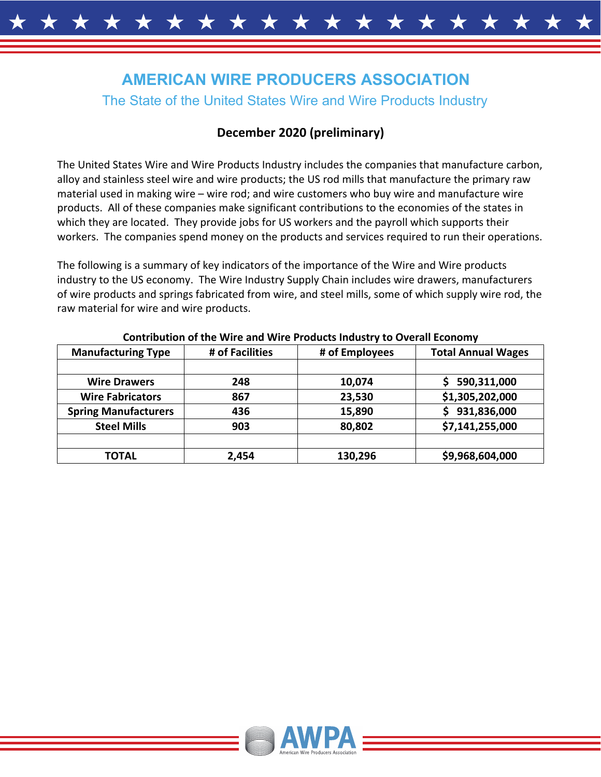# **AMERICAN WIRE PRODUCERS ASSOCIATION**

# The State of the United States Wire and Wire Products Industry

# **December 2020 (preliminary)**

The United States Wire and Wire Products Industry includes the companies that manufacture carbon, alloy and stainless steel wire and wire products; the US rod mills that manufacture the primary raw material used in making wire – wire rod; and wire customers who buy wire and manufacture wire products. All of these companies make significant contributions to the economies of the states in which they are located. They provide jobs for US workers and the payroll which supports their workers. The companies spend money on the products and services required to run their operations.

The following is a summary of key indicators of the importance of the Wire and Wire products industry to the US economy. The Wire Industry Supply Chain includes wire drawers, manufacturers of wire products and springs fabricated from wire, and steel mills, some of which supply wire rod, the raw material for wire and wire products.

| <u>aanniwation of the tene and tene i fouuto madult to oteran edonomy</u> |                 |                |                           |
|---------------------------------------------------------------------------|-----------------|----------------|---------------------------|
| <b>Manufacturing Type</b>                                                 | # of Facilities | # of Employees | <b>Total Annual Wages</b> |
|                                                                           |                 |                |                           |
| <b>Wire Drawers</b>                                                       | 248             | 10,074         | 590,311,000               |
| <b>Wire Fabricators</b>                                                   | 867             | 23,530         | \$1,305,202,000           |
| <b>Spring Manufacturers</b>                                               | 436             | 15,890         | 931,836,000<br>S          |
| <b>Steel Mills</b>                                                        | 903             | 80,802         | \$7,141,255,000           |
|                                                                           |                 |                |                           |
| <b>TOTAL</b>                                                              | 2,454           | 130,296        | \$9,968,604,000           |

#### **Contribution of the Wire and Wire Products Industry to Overall Economy**